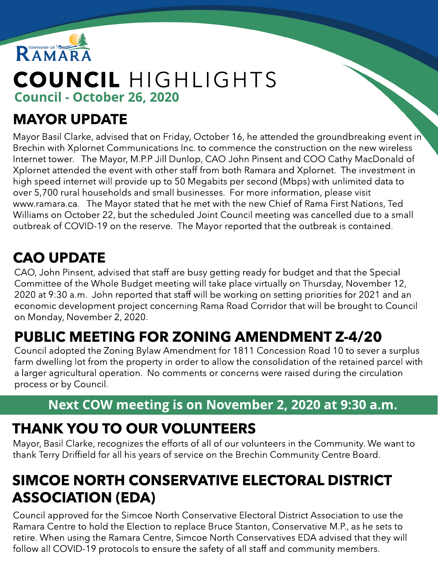

# COUNCIL HIGHLIGHTS Council - October 26, 2020

#### MAYOR UPDATE

Mayor Basil Clarke, advised that on Friday, October 16, he attended the groundbreaking event in Brechin with Xplornet Communications Inc. to commence the construction on the new wireless Internet tower. The Mayor, M.P.P Jill Dunlop, CAO John Pinsent and COO Cathy MacDonald of Xplornet attended the event with other staff from both Ramara and Xplornet. The investment in high speed internet will provide up to 50 Megabits per second (Mbps) with unlimited data to over 5,700 rural households and small businesses. For more information, please visit www.ramara.ca. The Mayor stated that he met with the new Chief of Rama First Nations, Ted Williams on October 22, but the scheduled Joint Council meeting was cancelled due to a small outbreak of COVID-19 on the reserve. The Mayor reported that the outbreak is contained.

## CAO UPDATE

CAO, John Pinsent, advised that staff are busy getting ready for budget and that the Special Committee of the Whole Budget meeting will take place virtually on Thursday, November 12, 2020 at 9:30 a.m. John reported that staff will be working on setting priorities for 2021 and an economic development project concerning Rama Road Corridor that will be brought to Council on Monday, November 2, 2020.

# PUBLIC MEETING FOR ZONING AMENDMENT Z-4/20

Council adopted the Zoning Bylaw Amendment for 1811 Concession Road 10 to sever a surplus farm dwelling lot from the property in order to allow the consolidation of the retained parcel with a larger agricultural operation. No comments or concerns were raised during the circulation process or by Council.

#### Next COW meeting is on November 2, 2020 at 9:30 a.m.

## THANK YOU TO OUR VOLUNTEERS

Mayor, Basil Clarke, recognizes the efforts of all of our volunteers in the Community. We want to thank Terry Driffield for all his years of service on the Brechin Community Centre Board.

## SIMCOE NORTH CONSERVATIVE ELECTORAL DISTRICT ASSOCIATION (EDA)

Council approved for the Simcoe North Conservative Electoral District Association to use the Ramara Centre to hold the Election to replace Bruce Stanton, Conservative M.P., as he sets to retire. When using the Ramara Centre, Simcoe North Conservatives EDA advised that they will follow all COVID-19 protocols to ensure the safety of all staff and community members.